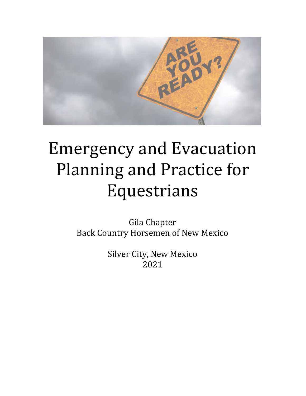

# **Emergency and Evacuation** Planning and Practice for Equestrians

Gila Chapter Back Country Horsemen of New Mexico

> Silver City, New Mexico 2021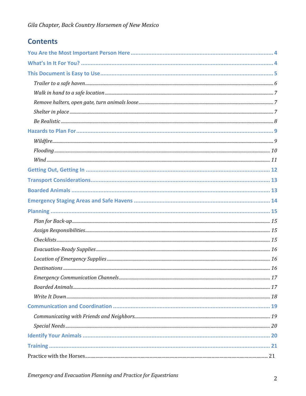## **Contents**

| Check lists. 155 |  |
|------------------|--|
|                  |  |
|                  |  |
|                  |  |
|                  |  |
|                  |  |
|                  |  |
|                  |  |
|                  |  |
|                  |  |
|                  |  |
|                  |  |
|                  |  |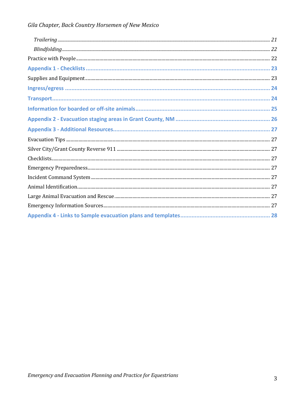| $\label{prop:main} Trailering\ _{}} 21$ |  |
|-----------------------------------------|--|
|                                         |  |
|                                         |  |
|                                         |  |
|                                         |  |
|                                         |  |
|                                         |  |
|                                         |  |
|                                         |  |
|                                         |  |
|                                         |  |
|                                         |  |
|                                         |  |
|                                         |  |
|                                         |  |
|                                         |  |
|                                         |  |
|                                         |  |
|                                         |  |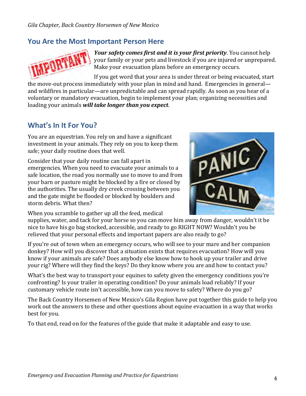## **You Are the Most Important Person Here**



*Your safety comes first and it is your first priority*. You cannot help your family or your pets and livestock if you are injured or unprepared. Make vour evacuation plans before an emergency occurs.

If you get word that your area is under threat or being evacuated, start the move-out process immediately with your plan in mind and hand. Emergencies in general and wildfires in particular—are unpredictable and can spread rapidly. As soon as you hear of a voluntary or mandatory evacuation, begin to implement your plan; organizing necessities and loading your animals *will take longer than you expect*.

## **What's In It For You?**

You are an equestrian. You rely on and have a significant investment in your animals. They rely on you to keep them safe; your daily routine does that well.

Consider that your daily routine can fall apart in emergencies. When you need to evacuate your animals to a safe location, the road you normally use to move to and from your barn or pasture might be blocked by a fire or closed by the authorities. The usually dry creek crossing between you and the gate might be flooded or blocked by boulders and storm debris. What then?



When you scramble to gather up all the feed, medical

supplies, water, and tack for your horse so you can move him away from danger, wouldn't it be nice to have his go bag stocked, accessible, and ready to go RIGHT NOW? Wouldn't you be relieved that your personal effects and important papers are also ready to go?

If you're out of town when an emergency occurs, who will see to your mare and her companion donkey? How will you discover that a situation exists that requires evacuation? How will you know if your animals are safe? Does anybody else know how to hook up your trailer and drive your rig? Where will they find the keys? Do they know where you are and how to contact you?

What's the best way to transport your equines to safety given the emergency conditions you're confronting? Is your trailer in operating condition? Do your animals load reliably? If your customary vehicle route isn't accessible, how can you move to safety? Where do you go?

The Back Country Horsemen of New Mexico's Gila Region have put together this guide to help you work out the answers to these and other questions about equine evacuation in a way that works best for you.

To that end, read on for the features of the guide that make it adaptable and easy to use.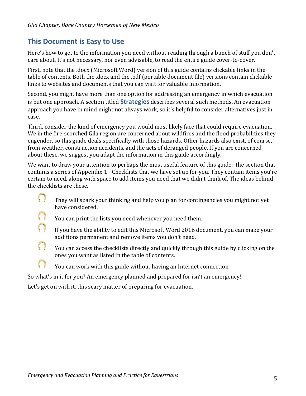## **This Document is Easy to Use**

Here's how to get to the information you need without reading through a bunch of stuff you don't care about. It's not necessary, nor even advisable, to read the entire guide cover-to-cover.

First, note that the .docx (Microsoft Word) version of this guide contains clickable links in the table of contents. Both the .docx and the .pdf (portable document file) versions contain clickable links to websites and documents that you can visit for valuable information.

Second, you might have more than one option for addressing an emergency in which evacuation is but one approach. A section titled **Strategies** describes several such methods. An evacuation approach you have in mind might not always work, so it's helpful to consider alternatives just in case.

Third, consider the kind of emergency you would most likely face that could require evacuation. We in the fire-scorched Gila region are concerned about wildfires and the flood probabilities they engender, so this guide deals specifically with those hazards. Other hazards also exist, of course, from weather, construction accidents, and the acts of deranged people. If you are concerned about these, we suggest you adapt the information in this guide accordingly.

We want to draw your attention to perhaps the most useful feature of this guide: the section that contains a series of Appendix 1 - Checklists that we have set up for you. They contain items you're certain to need, along with space to add items you need that we didn't think of. The ideas behind the checklists are these.

- They will spark your thinking and help you plan for contingencies you might not yet have considered.
	- You can print the lists you need whenever you need them.
- If you have the ability to edit this Microsoft Word 2016 document, you can make your additions permanent and remove items you don't need.
- $\bigcap$ You can access the checklists directly and quickly through this guide by clicking on the ones you want as listed in the table of contents.
	- You can work with this guide without having an Internet connection.

So what's in it for you? An emergency planned and prepared for isn't an emergency!

Let's get on with it, this scary matter of preparing for evacuation.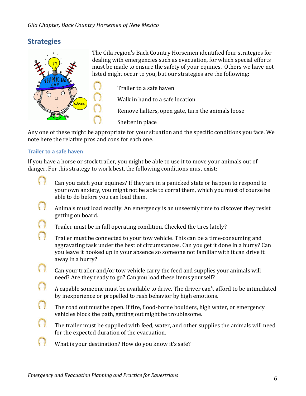## **Strategies**



The Gila region's Back Country Horsemen identified four strategies for dealing with emergencies such as evacuation, for which special efforts must be made to ensure the safety of your equines. Others we have not listed might occur to you, but our strategies are the following:

Trailer to a safe haven

Walk in hand to a safe location

Remove halters, open gate, turn the animals loose

Shelter in place

Any one of these might be appropriate for your situation and the specific conditions you face. We note here the relative pros and cons for each one.

#### **Trailer to a safe haven**

If you have a horse or stock trailer, you might be able to use it to move your animals out of danger. For this strategy to work best, the following conditions must exist:

- Can you catch your equines? If they are in a panicked state or happen to respond to your own anxiety, you might not be able to corral them, which you must of course be able to do before you can load them.
- $\bigcirc$ Animals must load readily. An emergency is an unseemly time to discover they resist getting on board.
- $\bigcap$ Trailer must be in full operating condition. Checked the tires lately?
- $\bigcap$ Trailer must be connected to your tow vehicle. This can be a time-consuming and aggravating task under the best of circumstances. Can you get it done in a hurry? Can you leave it hooked up in your absence so someone not familiar with it can drive it away in a hurry?
- $( )$ Can your trailer and/or tow vehicle carry the feed and supplies your animals will need? Are they ready to go? Can you load these items yourself?
- $\bigcap$ A capable someone must be available to drive. The driver can't afford to be intimidated by inexperience or propelled to rash behavior by high emotions.
- $\bigcap$ The road out must be open. If fire, flood-borne boulders, high water, or emergency vehicles block the path, getting out might be troublesome.
- $\bigcap$ The trailer must be supplied with feed, water, and other supplies the animals will need for the expected duration of the evacuation.
- $\left(\begin{array}{c} \end{array}\right)$ What is your destination? How do you know it's safe?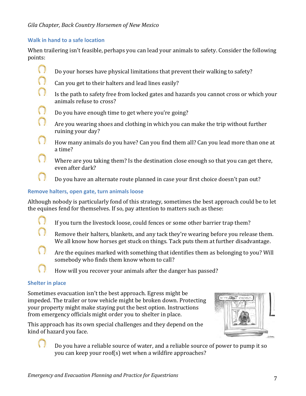#### **Walk in hand to a safe location**

When trailering isn't feasible, perhaps you can lead your animals to safety. Consider the following points:

- $\bigcirc$ Do your horses have physical limitations that prevent their walking to safety?
- $\bigcap$ Can you get to their halters and lead lines easily?
- $\bigcap$ Is the path to safety free from locked gates and hazards you cannot cross or which your animals refuse to cross?
- $\bigcap$ Do you have enough time to get where you're going?
	- Are you wearing shoes and clothing in which you can make the trip without further ruining your day?
	- How many animals do you have? Can you find them all? Can you lead more than one at a time?
	- Where are you taking them? Is the destination close enough so that you can get there, even after dark?
		- Do you have an alternate route planned in case your first choice doesn't pan out?

#### **Remove halters, open gate, turn animals loose**

Although nobody is particularly fond of this strategy, sometimes the best approach could be to let the equines fend for themselves. If so, pay attention to matters such as these:

- $\left(\begin{array}{c} \end{array}\right)$ If you turn the livestock loose, could fences or some other barrier trap them?
- $\bigcap$ Remove their halters, blankets, and any tack they're wearing before you release them. We all know how horses get stuck on things. Tack puts them at further disadvantage.
- $\left(\begin{array}{c} \end{array}\right)$ Are the equines marked with something that identifies them as belonging to you? Will somebody who finds them know whom to call?
	- How will you recover your animals after the danger has passed?

#### **Shelter in place**

Sometimes evacuation isn't the best approach. Egress might be impeded. The trailer or tow vehicle might be broken down. Protecting your property might make staying put the best option. Instructions from emergency officials might order you to shelter in place.

This approach has its own special challenges and they depend on the kind of hazard you face.



Do you have a reliable source of water, and a reliable source of power to pump it so you can keep your roof(s) wet when a wildfire approaches?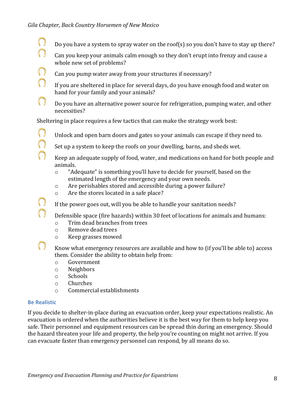- $\left(\begin{array}{c} \end{array}\right)$ Do you have a system to spray water on the roof(s) so you don't have to stay up there?  $\bigcap$ 
	- Can you keep your animals calm enough so they don't erupt into frenzy and cause a whole new set of problems?
	- Can you pump water away from your structures if necessary?
	- If you are sheltered in place for several days, do you have enough food and water on hand for your family and your animals?
- $\bigcap$ Do you have an alternative power source for refrigeration, pumping water, and other necessities?

Sheltering in place requires a few tactics that can make the strategy work best:

- $\bigcap$ Unlock and open barn doors and gates so your animals can escape if they need to.
	- Set up a system to keep the roofs on your dwelling, barns, and sheds wet.
	- Keep an adequate supply of food, water, and medications on hand for both people and animals.
		- $\circ$  "Adequate" is something you'll have to decide for yourself, based on the estimated length of the emergency and your own needs.
		- $\circ$  Are perishables stored and accessible during a power failure?
		- $\circ$  Are the stores located in a safe place?
	- If the power goes out, will you be able to handle your sanitation needs?
	- Defensible space (fire hazards) within 30 feet of locations for animals and humans:
		- o Trim dead branches from trees
		- o Remove dead trees
		- o Keep grasses mowed
	- Know what emergency resources are available and how to (if you'll be able to) access them. Consider the ability to obtain help from:
		- o Government
		- o Neighbors
		- o Schools
		- o Churches
		- $\circ$  Commercial establishments

#### **Be Realistic**

 $\bigcap$ 

 $\bigcap$ 

 $\bigcap$ 

 $\bigcap$ 

 $\bigcap$ 

If you decide to shelter-in-place during an evacuation order, keep your expectations realistic. An evacuation is ordered when the authorities believe it is the best way for them to help keep you safe. Their personnel and equipment resources can be spread thin during an emergency. Should the hazard threaten your life and property, the help you're counting on might not arrive. If you can evacuate faster than emergency personnel can respond, by all means do so.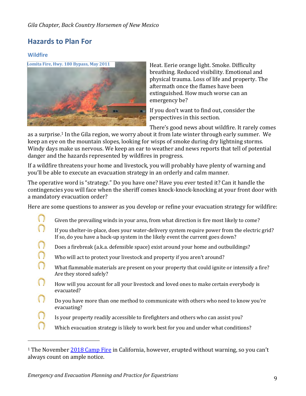## **Hazards to Plan For**

#### **Wildfire**



Heat. Eerie orange light. Smoke. Difficulty breathing. Reduced visibility. Emotional and physical trauma. Loss of life and property. The aftermath once the flames have been extinguished. How much worse can an emergency be?

If you don't want to find out, consider the perspectives in this section.

There's good news about wildfire. It rarely comes

as a surprise.<sup>1</sup> In the Gila region, we worry about it from late winter through early summer. We keep an eye on the mountain slopes, looking for wisps of smoke during dry lightning storms. Windy days make us nervous. We keep an ear to weather and news reports that tell of potential danger and the hazards represented by wildfires in progress.

If a wildfire threatens your home and livestock, you will probably have plenty of warning and you'll be able to execute an evacuation strategy in an orderly and calm manner.

The operative word is "strategy." Do you have one? Have you ever tested it? Can it handle the contingencies you will face when the sheriff comes knock-knock-knocking at your front door with a mandatory evacuation order?

Here are some questions to answer as you develop or refine your evacuation strategy for wildfire:

- $\bigcirc$ Given the prevailing winds in your area, from what direction is fire most likely to come?
- n If you shelter-in-place, does your water-delivery system require power from the electric grid? If so, do you have a back-up system in the likely event the current goes down?
- n Does a firebreak (a.k.a. defensible space) exist around your home and outbuildings?
- n Who will act to protect your livestock and property if you aren't around?
- $\bigcap$ What flammable materials are present on your property that could ignite or intensify a fire? Are they stored safely?
- n How will you account for all your livestock and loved ones to make certain everybody is evacuated?
- Do you have more than one method to communicate with others who need to know you're evacuating?
- n Is your property readily accessible to firefighters and others who can assist you?
	- Which evacuation strategy is likely to work best for you and under what conditions?

<sup>&</sup>lt;sup>1</sup> The November 2018 Camp Fire in California, however, erupted without warning, so you can't always count on ample notice.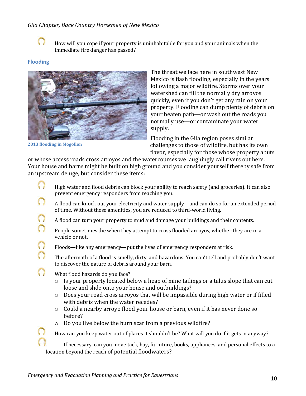

How will you cope if your property is uninhabitable for you and your animals when the immediate fire danger has passed?

#### **Flooding**



**2013 flooding in Mogollon** 

 $\Omega$  $\cap$  The threat we face here in southwest New Mexico is flash flooding, especially in the years following a major wildfire. Storms over your watershed can fill the normally dry arroyos quickly, even if you don't get any rain on your property. Flooding can dump plenty of debris on your beaten path—or wash out the roads you normally use—or contaminate your water supply. 

Flooding in the Gila region poses similar challenges to those of wildfire, but has its own flavor, especially for those whose property abuts

or whose access roads cross arroyos and the watercourses we laughingly call rivers out here. Your house and barns might be built on high ground and you consider yourself thereby safe from an upstream deluge, but consider these items:

- $\bigcirc$ High water and flood debris can block your ability to reach safety (and groceries). It can also prevent emergency responders from reaching you.
- n A flood can knock out your electricity and water supply—and can do so for an extended period of time. Without these amenities, you are reduced to third-world living.
- $\Omega$ A flood can turn your property to mud and damage your buildings and their contents.
- n People sometimes die when they attempt to cross flooded arroyos, whether they are in a vehicle or not.
	- Floods—like any emergency—put the lives of emergency responders at risk.
	- The aftermath of a flood is smelly, dirty, and hazardous. You can't tell and probably don't want to discover the nature of debris around your barn.
- $\Omega$ What flood hazards do you face?
	- $\circ$  Is your property located below a heap of mine tailings or a talus slope that can cut loose and slide onto your house and outbuildings?
	- $\circ$  Does your road cross arroyos that will be impassible during high water or if filled with debris when the water recedes?
	- $\circ$  Could a nearby arroyo flood your house or barn, even if it has never done so before?
	- $\circ$  Do you live below the burn scar from a previous wildfire?

How can you keep water out of places it shouldn't be? What will you do if it gets in anyway?

If necessary, can you move tack, hay, furniture, books, appliances, and personal effects to a location beyond the reach of potential floodwaters?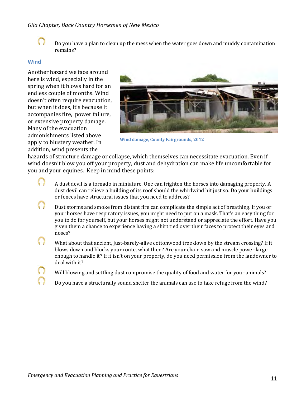

Do you have a plan to clean up the mess when the water goes down and muddy contamination remains?

#### **Wind**

Another hazard we face around here is wind, especially in the spring when it blows hard for an endless couple of months. Wind doesn't often require evacuation, but when it does, it's because it accompanies fire, power failure, or extensive property damage. Many of the evacuation admonishments listed above apply to blustery weather. In addition, wind presents the



**Wind damage, County Fairgrounds, 2012** 

hazards of structure damage or collapse, which themselves can necessitate evacuation. Even if wind doesn't blow you off your property, dust and dehydration can make life uncomfortable for you and your equines. Keep in mind these points:

- $\left(\begin{array}{c} \end{array}\right)$ A dust devil is a tornado in miniature. One can frighten the horses into damaging property. A dust devil can relieve a building of its roof should the whirlwind hit just so. Do your buildings or fences have structural issues that you need to address?
- $\left(\begin{array}{c} \end{array}\right)$ Dust storms and smoke from distant fire can complicate the simple act of breathing. If you or your horses have respiratory issues, you might need to put on a mask. That's an easy thing for you to do for yourself, but your horses might not understand or appreciate the effort. Have you given them a chance to experience having a shirt tied over their faces to protect their eyes and noses?
- $\bigcirc$ What about that ancient, just-barely-alive cottonwood tree down by the stream crossing? If it blows down and blocks your route, what then? Are your chain saw and muscle power large enough to handle it? If it isn't on your property, do you need permission from the landowner to deal with it?
	- Will blowing and settling dust compromise the quality of food and water for your animals?
	- Do you have a structurally sound shelter the animals can use to take refuge from the wind?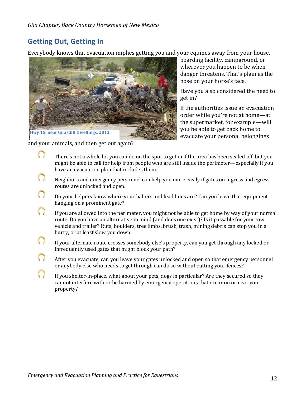## **Getting Out, Getting In**

Everybody knows that evacuation implies getting you and your equines away from your house,



and your animals, and then get out again?

boarding facility, campground, or wherever you happen to be when danger threatens. That's plain as the nose on your horse's face.

Have you also considered the need to get in?

If the authorities issue an evacuation order while you're not at home-at the supermarket, for example—will you be able to get back home to evacuate your personal belongings

- $\left(\begin{array}{c} \end{array}\right)$ There's not a whole lot you can do on the spot to get in if the area has been sealed off, but you might be able to call for help from people who are still inside the perimeter—especially if you have an evacuation plan that includes them.
- n Neighbors and emergency personnel can help you more easily if gates on ingress and egress routes are unlocked and open.
- n Do your helpers know where your halters and lead lines are? Can you leave that equipment hanging on a prominent gate?
- $\cap$ If you are allowed into the perimeter, you might not be able to get home by way of your normal route. Do you have an alternative in mind (and does one exist)? Is it passable for your tow vehicle and trailer? Ruts, boulders, tree limbs, brush, trash, mining debris can stop you in a hurry, or at least slow you down.
- n If your alternate route crosses somebody else's property, can you get through any locked or infrequently used gates that might block your path?
- $\bigcap$ After you evacuate, can you leave your gates unlocked and open so that emergency personnel or anybody else who needs to get through can do so without cutting your fences?
- $\bigcap$ If you shelter-in-place, what about your pets, dogs in particular? Are they secured so they cannot interfere with or be harmed by emergency operations that occur on or near your property?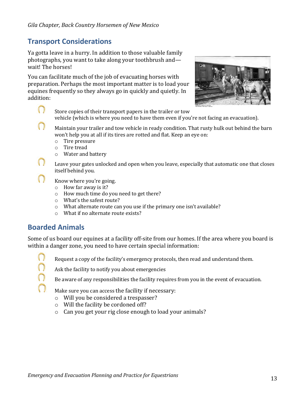## **Transport Considerations**

Ya gotta leave in a hurry. In addition to those valuable family photographs, you want to take along your toothbrush and wait! The horses!

You can facilitate much of the job of evacuating horses with preparation. Perhaps the most important matter is to load your equines frequently so they always go in quickly and quietly. In addition:



Store copies of their transport papers in the trailer or tow vehicle (which is where you need to have them even if you're not facing an evacuation).

- n Maintain your trailer and tow vehicle in ready condition. That rusty hulk out behind the barn won't help you at all if its tires are rotted and flat. Keep an eye on:
	- $\circ$  Tire pressure
	- $\circ$  Tire tread
	- o Water and battery
	- Leave your gates unlocked and open when you leave, especially that automatic one that closes itself behind you.
	- Know where you're going.
		- $\circ$  How far away is it?
		- $\circ$  How much time do you need to get there?
		- $\circ$  What's the safest route?
		- $\circ$  What alternate route can you use if the primary one isn't available?
		- $\circ$  What if no alternate route exists?

## **Boarded Animals**

Some of us board our equines at a facility off-site from our homes. If the area where you board is within a danger zone, you need to have certain special information:

 $\bigcirc$ 

 $\langle \cdot \rangle$ 

Request a copy of the facility's emergency protocols, then read and understand them.

Ask the facility to notify you about emergencies



Be aware of any responsibilities the facility requires from you in the event of evacuation.

Make sure you can access the facility if necessary:

- $\circ$  Will you be considered a trespasser?
- $\circ$  Will the facility be cordoned off?
- $\circ$  Can you get your rig close enough to load your animals?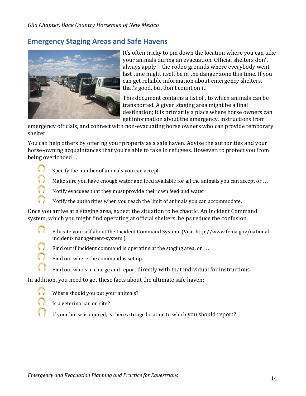## **Emergency Staging Areas and Safe Havens**



It's often tricky to pin down the location where you can take your animals during an evacuation. Official shelters don't always apply—the rodeo grounds where everybody went last time might itself be in the danger zone this time. If you can get reliable information about emergency shelters, that's good, but don't count on it.

This document contains a list of, to which animals can be transported. A given staging area might be a final destination; it is primarily a place where horse owners can get information about the emergency, instructions from

emergency officials, and connect with non-evacuating horse owners who can provide temporary shelter.

You can help others by offering your property as a safe haven. Advise the authorities and your horse-owning acquaintances that you're able to take in refugees. However, to protect you from being overloaded ...

- $\bigcirc$ Specify the number of animals you can accept.
	- Make sure you have enough water and feed available for all the animals you can accept or  $\dots$
	- Notify evacuees that they must provide their own feed and water.
	- Notify the authorities when you reach the limit of animals you can accommodate.

Once you arrive at a staging area, expect the situation to be chaotic. An Incident Command system, which you might find operating at official shelters, helps reduce the confusion:

- $\bigcap$ Educate yourself about the Incident Command System. (Visit http://www.fema.gov/nationalincident-management-system.)
	- Find out if incident command is operating at the staging area, or  $\dots$
	- Find out where the command is set up.
	- Find out who's in charge and report directly with that individual for instructions.

In addition, you need to get these facts about the ultimate safe haven:

- Where should you put your animals?
- Is a veterinarian on site?
- If your horse is injured, is there a triage location to which you should report?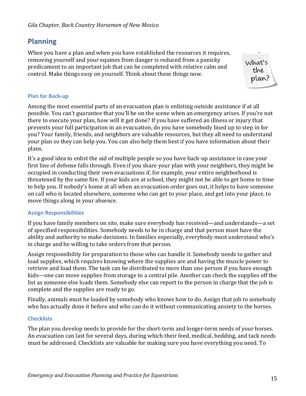## **Planning**

When you have a plan and when you have established the resources it requires, removing yourself and your equines from danger is reduced from a panicky predicament to an important job that can be completed with relative calm and control. Make things easy on yourself. Think about these things now.



#### **Plan for Back-up**

Among the most essential parts of an evacuation plan is enlisting outside assistance if at all possible. You can't guarantee that you'll be on the scene when an emergency arises. If you're not there to execute your plan, how will it get done? If you have suffered an illness or injury that prevents your full participation in an evacuation, do you have somebody lined up to step in for you? Your family, friends, and neighbors are valuable resources, but they all need to understand your plan so they can help you. You can also help them best if you have information about their plans.

It's a good idea to enlist the aid of multiple people so you have back-up assistance in case your first line of defense falls through. Even if you share your plan with your neighbors, they might be occupied in conducting their own evacuations if, for example, your entire neighborhood is threatened by the same fire. If your kids are at school, they might not be able to get home in time to help you. If nobody's home at all when an evacuation order goes out, it helps to have someone on call who is located elsewhere, someone who can get to your place, and get into your place, to move things along in your absence.

#### **Assign Responsibilities**

If you have family members on site, make sure everybody has received—and understands—a set of specified responsibilities. Somebody needs to be in charge and that person must have the ability and authority to make decisions. In families especially, everybody must understand who's in charge and be willing to take orders from that person.

Assign responsibility for preparation to those who can handle it. Somebody needs to gather and load supplies, which requires knowing where the supplies are and having the muscle power to retrieve and load them. The task can be distributed to more than one person if you have enough kids—one can move supplies from storage to a central pile. Another can check the supplies off the list as someone else loads them. Somebody else can report to the person in charge that the job is complete and the supplies are ready to go.

Finally, animals must be loaded by somebody who knows how to do. Assign that job to somebody who has actually done it before and who can do it without communicating anxiety to the horses.

#### **Checklists**

The plan you develop needs to provide for the short-term and longer-term needs of your horses. An evacuation can last for several days, during which their feed, medical, bedding, and tack needs must be addressed. Checklists are valuable for making sure you have everything you need. To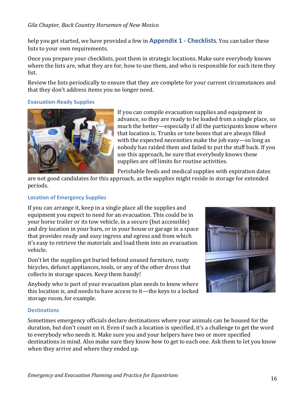help you get started, we have provided a few in **Appendix 1 - Checklists**. You can tailor these lists to your own requirements.

Once you prepare your checklists, post them in strategic locations. Make sure everybody knows where the lists are, what they are for, how to use them, and who is responsible for each item they list. 

Review the lists periodically to ensure that they are complete for your current circumstances and that they don't address items you no longer need.

#### **Evacuation-Ready Supplies**



If you can compile evacuation supplies and equipment in advance, so they are ready to be loaded from a single place, so much the better—especially if all the participants know where that location is. Trunks or tote boxes that are always filled with the expected necessities make the job easy-so long as nobody has raided them and failed to put the stuff back. If you use this approach, be sure that everybody knows these supplies are off limits for routine activities.

Perishable feeds and medical supplies with expiration dates

are not good candidates for this approach, as the supplies might reside in storage for extended periods.

#### **Location of Emergency Supplies**

If you can arrange it, keep in a single place all the supplies and equipment you expect to need for an evacuation. This could be in your horse trailer or its tow vehicle, in a secure (but accessible) and dry location in your barn, or in your house or garage in a space that provides ready and easy ingress and egress and from which it's easy to retrieve the materials and load them into an evacuation vehicle. 

Don't let the supplies get buried behind unused furniture, rusty bicycles, defunct appliances, tools, or any of the other dross that collects in storage spaces. Keep them handy!



Anybody who is part of your evacuation plan needs to know where this location is, and needs to have access to it—the keys to a locked storage room, for example.

#### **Destinations**

Sometimes emergency officials declare destinations where your animals can be housed for the duration, but don't count on it. Even if such a location is specified, it's a challenge to get the word to everybody who needs it. Make sure you and your helpers have two or more specified destinations in mind. Also make sure they know how to get to each one. Ask them to let you know when they arrive and where they ended up.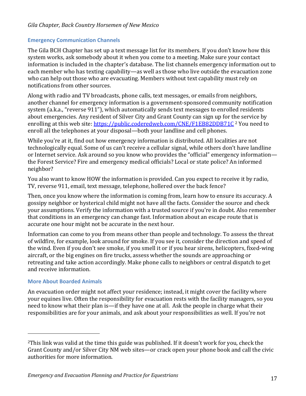#### **Emergency Communication Channels**

The Gila BCH Chapter has set up a text message list for its members. If you don't know how this system works, ask somebody about it when you come to a meeting. Make sure your contact information is included in the chapter's database. The list channels emergency information out to each member who has texting capability—as well as those who live outside the evacuation zone who can help out those who are evacuating. Members without text capability must rely on notifications from other sources.

Along with radio and TV broadcasts, phone calls, text messages, or emails from neighbors, another channel for emergency information is a government-sponsored community notification system (a.k.a., "reverse 911"), which automatically sends text messages to enrolled residents about emergencies. Any resident of Silver City and Grant County can sign up for the service by enrolling at this web site: https://public.coderedweb.com/CNE/F1EB82DDB71C <sup>2</sup> You need to enroll all the telephones at your disposal—both your landline and cell phones.

While you're at it, find out how emergency information is distributed. All localities are not technologically equal. Some of us can't receive a cellular signal, while others don't have landline or Internet service. Ask around so you know who provides the "official" emergency information the Forest Service? Fire and emergency medical officials? Local or state police? An informed neighbor?

You also want to know HOW the information is provided. Can you expect to receive it by radio, TV, reverse 911, email, text message, telephone, hollered over the back fence?

Then, once you know where the information is coming from, learn how to ensure its accuracy. A gossipy neighbor or hysterical child might not have all the facts. Consider the source and check your assumptions. Verify the information with a trusted source if you're in doubt. Also remember that conditions in an emergency can change fast. Information about an escape route that is accurate one hour might not be accurate in the next hour.

Information can come to you from means other than people and technology. To assess the threat of wildfire, for example, look around for smoke. If you see it, consider the direction and speed of the wind. Even if you don't see smoke, if you smell it or if you hear sirens, helicopters, fixed-wing aircraft, or the big engines on fire trucks, assess whether the sounds are approaching or retreating and take action accordingly. Make phone calls to neighbors or central dispatch to get and receive information.

#### **More About Boarded Animals**

An evacuation order might not affect your residence; instead, it might cover the facility where your equines live. Often the responsibility for evacuation rests with the facility managers, so you need to know what their plan is—if they have one at all. Ask the people in charge what their responsibilities are for your animals, and ask about your responsibilities as well. If you're not

 $2$ This link was valid at the time this guide was published. If it doesn't work for you, check the Grant County and/or Silver City NM web sites—or crack open your phone book and call the civic authorities for more information.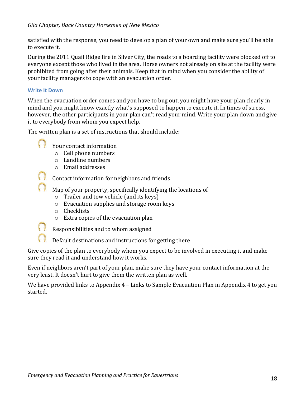satisfied with the response, you need to develop a plan of your own and make sure you'll be able to execute it.

During the 2011 Quail Ridge fire in Silver City, the roads to a boarding facility were blocked off to everyone except those who lived in the area. Horse owners not already on site at the facility were prohibited from going after their animals. Keep that in mind when you consider the ability of your facility managers to cope with an evacuation order.

#### **Write It Down**

When the evacuation order comes and you have to bug out, you might have your plan clearly in mind and you might know exactly what's supposed to happen to execute it. In times of stress, however, the other participants in your plan can't read your mind. Write your plan down and give it to everybody from whom you expect help.

The written plan is a set of instructions that should include:

- Your contact information
	- $\circ$  Cell phone numbers
	- $\circ$  Landline numbers
	- $\circ$  Email addresses

Contact information for neighbors and friends

Map of your property, specifically identifying the locations of

- $\circ$  Trailer and tow vehicle (and its keys)
- $\circ$  Evacuation supplies and storage room keys
- o Checklists
- $\circ$  Extra copies of the evacuation plan
- Responsibilities and to whom assigned

Default destinations and instructions for getting there

Give copies of the plan to everybody whom you expect to be involved in executing it and make sure they read it and understand how it works.

Even if neighbors aren't part of your plan, make sure they have your contact information at the very least. It doesn't hurt to give them the written plan as well.

We have provided links to Appendix  $4$  – Links to Sample Evacuation Plan in Appendix 4 to get you started.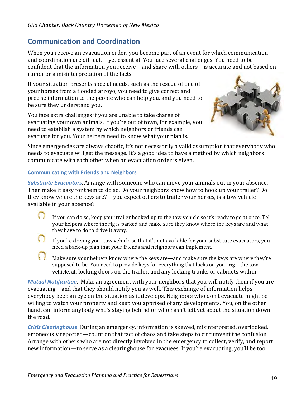## **Communication and Coordination**

When you receive an evacuation order, you become part of an event for which communication and coordination are difficult—yet essential. You face several challenges. You need to be confident that the information you receive—and share with others—is accurate and not based on rumor or a misinterpretation of the facts.

If your situation presents special needs, such as the rescue of one of your horses from a flooded arroyo, you need to give correct and precise information to the people who can help you, and you need to be sure they understand you.

You face extra challenges if you are unable to take charge of evacuating your own animals. If you're out of town, for example, you need to establish a system by which neighbors or friends can evacuate for you. Your helpers need to know what your plan is.



Since emergencies are always chaotic, it's not necessarily a valid assumption that everybody who needs to evacuate will get the message. It's a good idea to have a method by which neighbors communicate with each other when an evacuation order is given.

#### **Communicating with Friends and Neighbors**

**Substitute Evacuators**. Arrange with someone who can move your animals out in your absence. Then make it easy for them to do so. Do your neighbors know how to hook up your trailer? Do they know where the keys are? If you expect others to trailer your horses, is a tow vehicle available in your absence?

- $\langle \cdot \rangle$ If you can do so, keep your trailer hooked up to the tow vehicle so it's ready to go at once. Tell your helpers where the rig is parked and make sure they know where the keys are and what they have to do to drive it away.
- If you're driving your tow vehicle so that it's not available for your substitute evacuators, you need a back-up plan that your friends and neighbors can implement.
- Make sure your helpers know where the keys are—and make sure the keys are where they're supposed to be. You need to provide keys for everything that locks on your rig—the tow vehicle, all locking doors on the trailer, and any locking trunks or cabinets within.

*Mutual Notification.* Make an agreement with your neighbors that you will notify them if you are evacuating—and that they should notify you as well. This exchange of information helps everybody keep an eye on the situation as it develops. Neighbors who don't evacuate might be willing to watch your property and keep you apprised of any developments. You, on the other hand, can inform anybody who's staying behind or who hasn't left yet about the situation down the road.

**Crisis Clearinghouse**. During an emergency, information is skewed, misinterpreted, overlooked, erroneously reported—count on that fact of chaos and take steps to circumvent the confusion. Arrange with others who are not directly involved in the emergency to collect, verify, and report new information—to serve as a clearinghouse for evacuees. If you're evacuating, you'll be too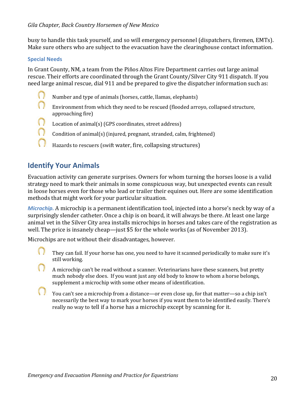busy to handle this task yourself, and so will emergency personnel (dispatchers, firemen, EMTs). Make sure others who are subject to the evacuation have the clearinghouse contact information.

#### **Special Needs**

In Grant County, NM, a team from the Piños Altos Fire Department carries out large animal rescue. Their efforts are coordinated through the Grant County/Silver City 911 dispatch. If you need large animal rescue, dial 911 and be prepared to give the dispatcher information such as:

- $\langle \rangle$ Number and type of animals (horses, cattle, llamas, elephants)
- $\bigcirc$ Environment from which they need to be rescued (flooded arroyo, collapsed structure, approaching fire)
- n Location of animal(s) (GPS coordinates, street address)
- n Condition of animal(s) (injured, pregnant, stranded, calm, frightened)
	- Hazards to rescuers (swift water, fire, collapsing structures)

## **Identify Your Animals**

Evacuation activity can generate surprises. Owners for whom turning the horses loose is a valid strategy need to mark their animals in some conspicuous way, but unexpected events can result in loose horses even for those who lead or trailer their equines out. Here are some identification methods that might work for your particular situation.

*Microchip.* A microchip is a permanent identification tool, injected into a horse's neck by way of a surprisingly slender catheter. Once a chip is on board, it will always be there. At least one large animal vet in the Silver City area installs microchips in horses and takes care of the registration as well. The price is insanely cheap—just  $$5$  for the whole works (as of November 2013).

Microchips are not without their disadvantages, however.

- They can fail. If your horse has one, you need to have it scanned periodically to make sure it's still working.
- A microchip can't be read without a scanner. Veterinarians have these scanners, but pretty much nobody else does. If you want just any old body to know to whom a horse belongs, supplement a microchip with some other means of identification.
- You can't see a microchip from a distance—or even close up, for that matter—so a chip isn't necessarily the best way to mark your horses if you want them to be identified easily. There's really no way to tell if a horse has a microchip except by scanning for it.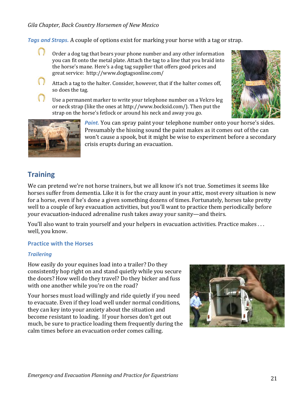**Tags and Straps.** A couple of options exist for marking your horse with a tag or strap.

Order a dog tag that bears your phone number and any other information you can fit onto the metal plate. Attach the tag to a line that you braid into the horse's mane. Here's a dog tag supplier that offers good prices and great service: http://www.dogtagsonline.com/



Use a permanent marker to write your telephone number on a Velcro leg or neck strap (like the ones at http://www.bocksid.com/). Then put the strap on the horse's fetlock or around his neck and away you go.





**Paint.** You can spray paint your telephone number onto your horse's sides. Presumably the hissing sound the paint makes as it comes out of the can won't cause a spook, but it might be wise to experiment before a secondary crisis erupts during an evacuation.

## **Training**

We can pretend we're not horse trainers, but we all know it's not true. Sometimes it seems like horses suffer from dementia. Like it is for the crazy aunt in your attic, most every situation is new for a horse, even if he's done a given something dozens of times. Fortunately, horses take pretty well to a couple of key evacuation activities, but you'll want to practice them periodically before your evacuation-induced adrenaline rush takes away your sanity—and theirs.

You'll also want to train yourself and your helpers in evacuation activities. Practice makes ... well, you know.

#### **Practice with the Horses**

#### *Trailering*

How easily do your equines load into a trailer? Do they consistently hop right on and stand quietly while you secure the doors? How well do they travel? Do they bicker and fuss with one another while you're on the road?

Your horses must load willingly and ride quietly if you need to evacuate. Even if they load well under normal conditions, they can key into your anxiety about the situation and become resistant to loading. If your horses don't get out much, be sure to practice loading them frequently during the calm times before an evacuation order comes calling.

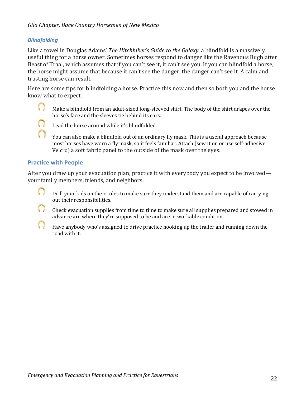#### *Blindfolding*

Like a towel in Douglas Adams' *The Hitchhiker's Guide to the Galaxy*, a blindfold is a massively useful thing for a horse owner. Sometimes horses respond to danger like the Ravenous Bugblatter Beast of Traal, which assumes that if you can't see it, it can't see you. If you can blindfold a horse, the horse might assume that because it can't see the danger, the danger can't see it. A calm and trusting horse can result.

Here are some tips for blindfolding a horse. Practice this now and then so both you and the horse know what to expect.

 $\langle \rangle$ Make a blindfold from an adult-sized long-sleeved shirt. The body of the shirt drapes over the horse's face and the sleeves tie behind its ears.

Lead the horse around while it's blindfolded.

You can also make a blindfold out of an ordinary fly mask. This is a useful approach because most horses have worn a fly mask, so it feels familiar. Attach (sew it on or use self-adhesive Velcro) a soft fabric panel to the outside of the mask over the eyes.

#### **Practice with People**

After you draw up your evacuation plan, practice it with everybody you expect to be involved your family members, friends, and neighbors.

 $\langle \cdot \rangle$ Drill your kids on their roles to make sure they understand them and are capable of carrying out their responsibilities.

Check evacuation supplies from time to time to make sure all supplies prepared and stowed in advance are where they're supposed to be and are in workable condition.

Have anybody who's assigned to drive practice hooking up the trailer and running down the road with it.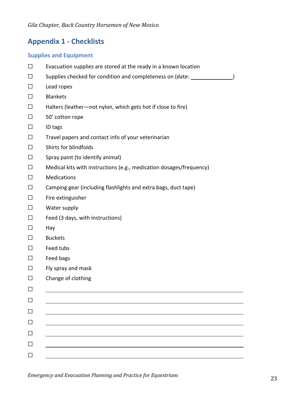## **Appendix 1 - Checklists**

#### **Supplies and Equipment**

| П            | Evacuation supplies are stored at the ready in a known location     |  |  |
|--------------|---------------------------------------------------------------------|--|--|
| $\mathsf{L}$ | Supplies checked for condition and completeness on (date:           |  |  |
| $\perp$      | Lead ropes                                                          |  |  |
| П            | <b>Blankets</b>                                                     |  |  |
| $\perp$      | Halters (leather-not nylon, which gets hot if close to fire)        |  |  |
| $\perp$      | 50' cotton rope                                                     |  |  |
| $\perp$      | ID tags                                                             |  |  |
| $\perp$      | Travel papers and contact info of your veterinarian                 |  |  |
| $\perp$      | Shirts for blindfolds                                               |  |  |
| П            | Spray paint (to identify animal)                                    |  |  |
| $\Box$       | Medical kits with instructions (e.g., medication dosages/frequency) |  |  |
| $\perp$      | <b>Medications</b>                                                  |  |  |
| $\perp$      | Camping gear (including flashlights and extra bags, duct tape)      |  |  |
| $\Box$       | Fire extinguisher                                                   |  |  |
| $\perp$      | Water supply                                                        |  |  |
| $\perp$      | Feed (3 days, with instructions)                                    |  |  |
| П            | Hay                                                                 |  |  |
|              | <b>Buckets</b>                                                      |  |  |
| $\perp$      | Feed tubs                                                           |  |  |
| $\perp$      | Feed bags                                                           |  |  |
|              | Fly spray and mask                                                  |  |  |
| ப            | Change of clothing                                                  |  |  |
|              |                                                                     |  |  |
|              |                                                                     |  |  |
|              |                                                                     |  |  |
|              |                                                                     |  |  |
|              |                                                                     |  |  |
|              |                                                                     |  |  |
|              |                                                                     |  |  |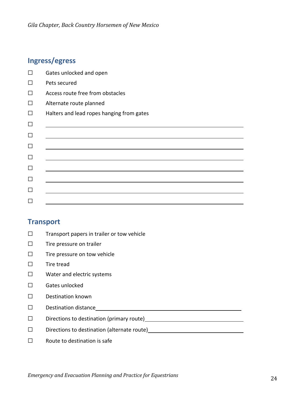## **Ingress/egress**

| $\mathsf{L}$ | Gates unlocked and open                   |
|--------------|-------------------------------------------|
| П            | Pets secured                              |
| $\Box$       | Access route free from obstacles          |
| $\Box$       | Alternate route planned                   |
| □            | Halters and lead ropes hanging from gates |
| $\Box$       |                                           |
| $\Box$       |                                           |
| $\Box$       |                                           |
| $\Box$       |                                           |
| $\Box$       |                                           |
| $\Box$       |                                           |
| $\mathbf{L}$ |                                           |
|              |                                           |

### **Transport**

- ☐ Transport papers in trailer or tow vehicle
- ☐ Tire pressure on trailer
- ☐ Tire pressure on tow vehicle
- ☐ Tire tread
- ☐ Water and electric systems
- ☐ Gates unlocked
- ☐ Destination known
- ☐ Destination distance
- ☐ Directions to destination (primary route)
- ☐ Directions to destination (alternate route)
- $\Box$  Route to destination is safe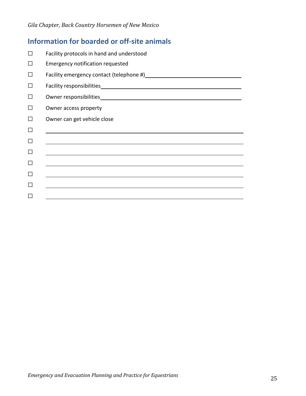## **Information for boarded or off-site animals**

|        | Facility protocols in hand and understood                                        |
|--------|----------------------------------------------------------------------------------|
|        | <b>Emergency notification requested</b>                                          |
|        |                                                                                  |
|        |                                                                                  |
| $\Box$ |                                                                                  |
|        | Owner access property                                                            |
|        | Owner can get vehicle close                                                      |
|        |                                                                                  |
|        | <u> 1989 - Andrea Andrew Maria (h. 1989).</u>                                    |
|        |                                                                                  |
|        |                                                                                  |
|        |                                                                                  |
|        |                                                                                  |
|        | ,我们也不会有什么。""我们的人,我们也不会有什么?""我们的人,我们也不会有什么?""我们的人,我们也不会有什么?""我们的人,我们也不会有什么?""我们的人 |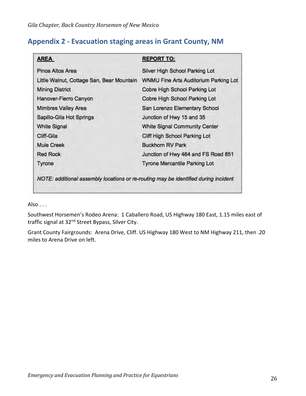## **Appendix 2 - Evacuation staging areas in Grant County, NM**

| <b>AREA</b>                               | <b>REPORT TO:</b>                     |
|-------------------------------------------|---------------------------------------|
| Pinos Altos Area                          | Silver High School Parking Lot        |
| Little Walnut, Cottage San, Bear Mountain | WNMU Fine Arts Auditorium Parking Lot |
| <b>Mining District</b>                    | Cobre High School Parking Lot         |
| Hanover-Fierro Canyon                     | Cobre High School Parking Lot         |
| <b>Mimbres Valley Area</b>                | San Lorenzo Elementary School         |
| Sapillo-Gila Hot Springs                  | Junction of Hwy 15 and 35             |
| <b>White Signal</b>                       | <b>White Signal Community Center</b>  |
| Cliff-Gila                                | Cliff High School Parking Lot         |
| <b>Mule Creek</b>                         | <b>Buckhorn RV Park</b>               |
| <b>Red Rock</b>                           | Junction of Hwy 464 and FS Road 851   |
| Tyrone                                    | <b>Tyrone Mercantile Parking Lot</b>  |

Also . . .

Southwest Horsemen's Rodeo Arena: 1 Caballero Road, US Highway 180 East, 1.15 miles east of traffic signal at 32<sup>nd</sup> Street Bypass, Silver City.

Grant County Fairgrounds: Arena Drive, Cliff. US Highway 180 West to NM Highway 211, then .20 miles to Arena Drive on left.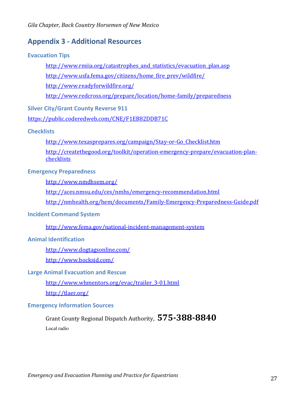## **Appendix 3 - Additional Resources**

#### **Evacuation Tips**

http://www.rmiia.org/catastrophes\_and\_statistics/evacuation\_plan.asp

http://www.usfa.fema.gov/citizens/home\_fire\_prev/wildfire/

http://www.readyforwildfire.org/

http://www.redcross.org/prepare/location/home-family/preparedness

#### **Silver City/Grant County Reverse 911**

https://public.coderedweb.com/CNE/F1EB82DDB71C

#### **Checklists**

http://www.texasprepares.org/campaign/Stay-or-Go\_Checklist.htm http://createthegood.org/toolkit/operation-emergency-prepare/evacuation-plan**checklists** 

#### **Emergency Preparedness**

http://www.nmdhsem.org/

http://aces.nmsu.edu/ces/nmhs/emergency-recommendation.html

http://nmhealth.org/hem/documents/Family-Emergency-Preparedness-Guide.pdf

#### **Incident Command System**

http://www.fema.gov/national-incident-management-system

#### **Animal Identification**

http://www.dogtagsonline.com/

http://www.bocksid.com/

#### **Large Animal Evacuation and Rescue**

http://www.whmentors.org/evac/trailer\_3-01.html

http://tlaer.org/

#### **Emergency Information Sources**

## Grant County Regional Dispatch Authority,  $575$ -388-8840

Local radio